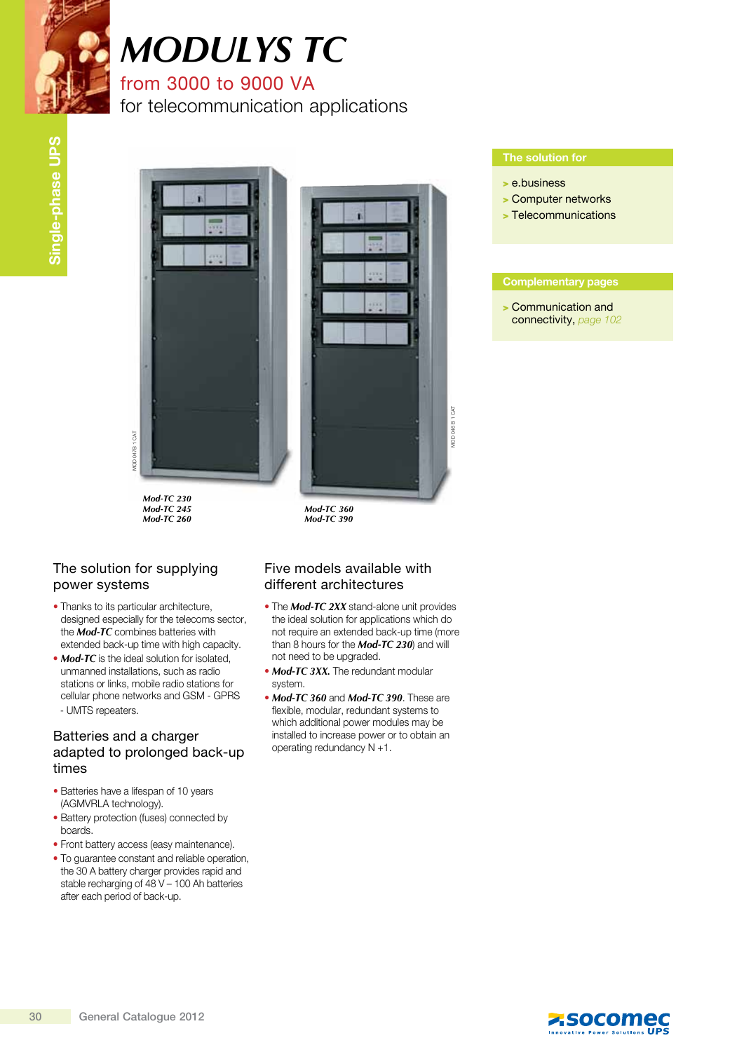

## *MODULYS TC*

### from 3000 to 9000 VA

for telecommunication applications



*Mod-TC 230 Mod-TC 245 Mod-TC 260*

# $CAT$ mod 046 B 1 cat ADD 046 B

*Mod-TC 360 Mod-TC 390*

#### The solution for supplying power systems

- Thanks to its particular architecture, designed especially for the telecoms sector, the *Mod-TC* combines batteries with extended back-up time with high capacity.
- **Mod-TC** is the ideal solution for isolated, unmanned installations, such as radio stations or links, mobile radio stations for cellular phone networks and GSM - GPRS - UMTS repeaters.

#### Batteries and a charger adapted to prolonged back-up times

- Batteries have a lifespan of 10 years (AGMVRLA technology).
- Battery protection (fuses) connected by boards.
- Front battery access (easy maintenance).
- To guarantee constant and reliable operation, the 30 A battery charger provides rapid and stable recharging of 48 V – 100 Ah batteries after each period of back-up.

#### Five models available with different architectures

- The *Mod-TC 2XX* stand-alone unit provides the ideal solution for applications which do not require an extended back-up time (more than 8 hours for the *Mod-TC 230*) and will not need to be upgraded.
- *Mod-TC 3XX*. The redundant modular system.
- *Mod-TC 360* and *Mod-TC 390*. These are flexible, modular, redundant systems to which additional power modules may be installed to increase power or to obtain an operating redundancy N +1.

- > e.business
- > Computer networks
- > Telecommunications

#### Complementary pages

> Communication and connectivity, page 102